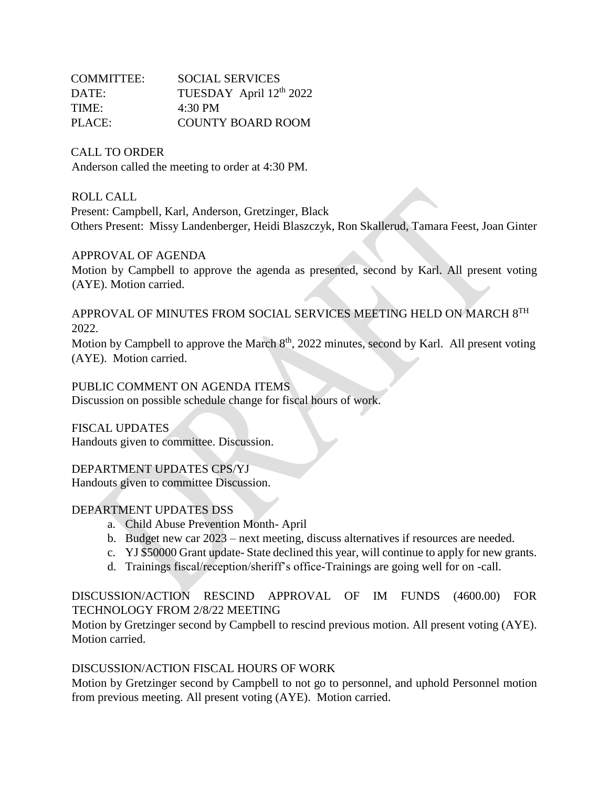| COMMITTEE: | <b>SOCIAL SERVICES</b>   |
|------------|--------------------------|
| DATE:      | TUESDAY April 12th 2022  |
| TIME:      | $4:30 \text{ PM}$        |
| PLACE:     | <b>COUNTY BOARD ROOM</b> |

### CALL TO ORDER

Anderson called the meeting to order at 4:30 PM.

### ROLL CALL

Present: Campbell, Karl, Anderson, Gretzinger, Black Others Present: Missy Landenberger, Heidi Blaszczyk, Ron Skallerud, Tamara Feest, Joan Ginter

## APPROVAL OF AGENDA

Motion by Campbell to approve the agenda as presented, second by Karl. All present voting (AYE). Motion carried.

# APPROVAL OF MINUTES FROM SOCIAL SERVICES MEETING HELD ON MARCH 8TH 2022.

Motion by Campbell to approve the March  $8<sup>th</sup>$ , 2022 minutes, second by Karl. All present voting (AYE). Motion carried.

## PUBLIC COMMENT ON AGENDA ITEMS

Discussion on possible schedule change for fiscal hours of work.

FISCAL UPDATES Handouts given to committee. Discussion.

# DEPARTMENT UPDATES CPS/YJ

Handouts given to committee Discussion.

### DEPARTMENT UPDATES DSS

- a. Child Abuse Prevention Month- April
- b. Budget new car 2023 next meeting, discuss alternatives if resources are needed.
- c. YJ \$50000 Grant update- State declined this year, will continue to apply for new grants.
- d. Trainings fiscal/reception/sheriff's office-Trainings are going well for on -call.

# DISCUSSION/ACTION RESCIND APPROVAL OF IM FUNDS (4600.00) FOR TECHNOLOGY FROM 2/8/22 MEETING

Motion by Gretzinger second by Campbell to rescind previous motion. All present voting (AYE). Motion carried.

## DISCUSSION/ACTION FISCAL HOURS OF WORK

Motion by Gretzinger second by Campbell to not go to personnel, and uphold Personnel motion from previous meeting. All present voting (AYE). Motion carried.